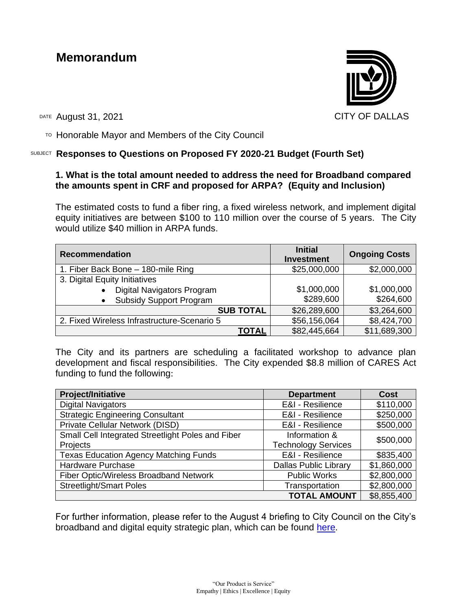# **Memorandum**



DATE August 31, 2021 CITY OF DALLAS

 $T$ <sup>O</sup> Honorable Mayor and Members of the City Council

# SUBJECT **Responses to Questions on Proposed FY 2020-21 Budget (Fourth Set)**

# **1. What is the total amount needed to address the need for Broadband compared the amounts spent in CRF and proposed for ARPA? (Equity and Inclusion)**

The estimated costs to fund a fiber ring, a fixed wireless network, and implement digital equity initiatives are between \$100 to 110 million over the course of 5 years. The City would utilize \$40 million in ARPA funds.

| <b>Recommendation</b>                       | <b>Initial</b><br><b>Investment</b> | <b>Ongoing Costs</b> |
|---------------------------------------------|-------------------------------------|----------------------|
| 1. Fiber Back Bone - 180-mile Ring          | \$25,000,000                        | \$2,000,000          |
| 3. Digital Equity Initiatives               |                                     |                      |
| Digital Navigators Program                  | \$1,000,000                         | \$1,000,000          |
| <b>Subsidy Support Program</b>              | \$289,600                           | \$264,600            |
| <b>SUB TOTAL</b>                            | \$26,289,600                        | \$3,264,600          |
| 2. Fixed Wireless Infrastructure-Scenario 5 | \$56,156,064                        | \$8,424,700          |
| TOTAL                                       | \$82,445,664                        | \$11,689,300         |

The City and its partners are scheduling a facilitated workshop to advance plan development and fiscal responsibilities. The City expended \$8.8 million of CARES Act funding to fund the following:

| <b>Project/Initiative</b>                         | <b>Department</b>            | <b>Cost</b> |  |
|---------------------------------------------------|------------------------------|-------------|--|
| <b>Digital Navigators</b>                         | E&I - Resilience             | \$110,000   |  |
| <b>Strategic Engineering Consultant</b>           | E&I - Resilience             | \$250,000   |  |
| Private Cellular Network (DISD)                   | E&I - Resilience             | \$500,000   |  |
| Small Cell Integrated Streetlight Poles and Fiber | Information &                | \$500,000   |  |
| Projects                                          | <b>Technology Services</b>   |             |  |
| <b>Texas Education Agency Matching Funds</b>      | E&I - Resilience             | \$835,400   |  |
| Hardware Purchase                                 | <b>Dallas Public Library</b> | \$1,860,000 |  |
| Fiber Optic/Wireless Broadband Network            | <b>Public Works</b>          | \$2,800,000 |  |
| <b>Streetlight/Smart Poles</b>                    | Transportation               | \$2,800,000 |  |
|                                                   | <b>TOTAL AMOUNT</b>          | \$8,855,400 |  |

For further information, please refer to the August 4 briefing to City Council on the City's broadband and digital equity strategic plan, which can be found [here.](https://dallascityhall.com/government/Council%20Meeting%20Documents/Broadband-digital-equity-strategic-plan_briefing_073021.pdf)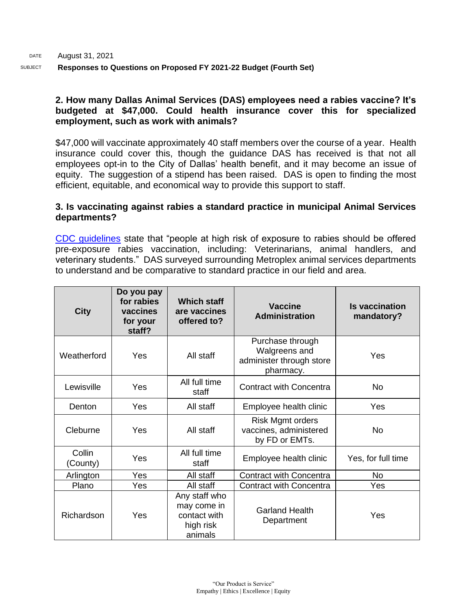#### **2. How many Dallas Animal Services (DAS) employees need a rabies vaccine? It's budgeted at \$47,000. Could health insurance cover this for specialized employment, such as work with animals?**

\$47,000 will vaccinate approximately 40 staff members over the course of a year. Health insurance could cover this, though the guidance DAS has received is that not all employees opt-in to the City of Dallas' health benefit, and it may become an issue of equity. The suggestion of a stipend has been raised. DAS is open to finding the most efficient, equitable, and economical way to provide this support to staff.

#### **3. Is vaccinating against rabies a standard practice in municipal Animal Services departments?**

[CDC guidelines](https://www.cdc.gov/vaccines/hcp/vis/vis-statements/rabies.html) state that "people at high risk of exposure to rabies should be offered pre-exposure rabies vaccination, including: Veterinarians, animal handlers, and veterinary students." DAS surveyed surrounding Metroplex animal services departments to understand and be comparative to standard practice in our field and area.

| <b>City</b>        | Do you pay<br>for rabies<br>vaccines<br>for your<br>staff? | <b>Which staff</b><br>are vaccines<br>offered to?                    | <b>Vaccine</b><br><b>Administration</b>                                    | <b>Is vaccination</b><br>mandatory? |
|--------------------|------------------------------------------------------------|----------------------------------------------------------------------|----------------------------------------------------------------------------|-------------------------------------|
| Weatherford        | Yes                                                        | All staff                                                            | Purchase through<br>Walgreens and<br>administer through store<br>pharmacy. | Yes                                 |
| Lewisville         | Yes                                                        | All full time<br>staff                                               | <b>Contract with Concentra</b>                                             | <b>No</b>                           |
| Denton             | Yes                                                        | All staff                                                            | Employee health clinic                                                     | Yes                                 |
| Cleburne           | Yes                                                        | All staff                                                            | Risk Mgmt orders<br>vaccines, administered<br>by FD or EMTs.               | No.                                 |
| Collin<br>(County) | Yes                                                        | All full time<br>staff                                               | Employee health clinic                                                     | Yes, for full time                  |
| Arlington          | Yes                                                        | All staff                                                            | <b>Contract with Concentra</b>                                             | No                                  |
| Plano              | Yes                                                        | All staff                                                            | <b>Contract with Concentra</b>                                             | Yes                                 |
| Richardson         | Yes                                                        | Any staff who<br>may come in<br>contact with<br>high risk<br>animals | <b>Garland Health</b><br>Department                                        | Yes                                 |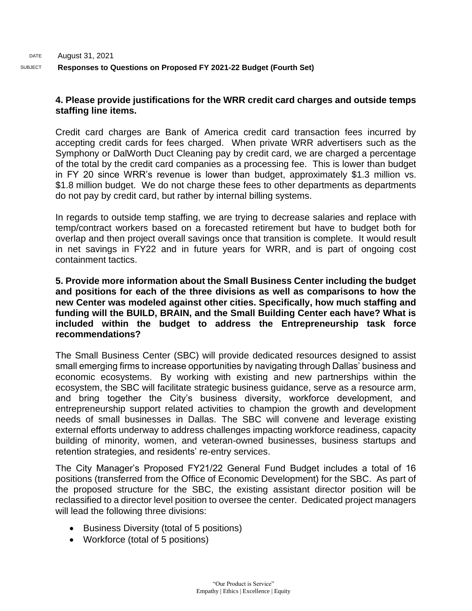#### **4. Please provide justifications for the WRR credit card charges and outside temps staffing line items.**

Credit card charges are Bank of America credit card transaction fees incurred by accepting credit cards for fees charged. When private WRR advertisers such as the Symphony or DalWorth Duct Cleaning pay by credit card, we are charged a percentage of the total by the credit card companies as a processing fee. This is lower than budget in FY 20 since WRR's revenue is lower than budget, approximately \$1.3 million vs. \$1.8 million budget. We do not charge these fees to other departments as departments do not pay by credit card, but rather by internal billing systems.

In regards to outside temp staffing, we are trying to decrease salaries and replace with temp/contract workers based on a forecasted retirement but have to budget both for overlap and then project overall savings once that transition is complete. It would result in net savings in FY22 and in future years for WRR, and is part of ongoing cost containment tactics.

#### **5. Provide more information about the Small Business Center including the budget and positions for each of the three divisions as well as comparisons to how the new Center was modeled against other cities. Specifically, how much staffing and funding will the BUILD, BRAIN, and the Small Building Center each have? What is included within the budget to address the Entrepreneurship task force recommendations?**

The Small Business Center (SBC) will provide dedicated resources designed to assist small emerging firms to increase opportunities by navigating through Dallas' business and economic ecosystems. By working with existing and new partnerships within the ecosystem, the SBC will facilitate strategic business guidance, serve as a resource arm, and bring together the City's business diversity, workforce development, and entrepreneurship support related activities to champion the growth and development needs of small businesses in Dallas. The SBC will convene and leverage existing external efforts underway to address challenges impacting workforce readiness, capacity building of minority, women, and veteran-owned businesses, business startups and retention strategies, and residents' re-entry services.

The City Manager's Proposed FY21/22 General Fund Budget includes a total of 16 positions (transferred from the Office of Economic Development) for the SBC. As part of the proposed structure for the SBC, the existing assistant director position will be reclassified to a director level position to oversee the center. Dedicated project managers will lead the following three divisions:

- Business Diversity (total of 5 positions)
- Workforce (total of 5 positions)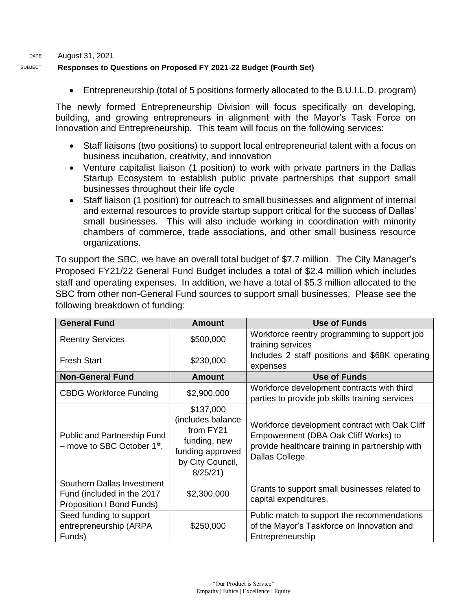#### DATE August 31, 2021

#### SUBJECT **Responses to Questions on Proposed FY 2021-22 Budget (Fourth Set)**

• Entrepreneurship (total of 5 positions formerly allocated to the B.U.I.L.D. program)

The newly formed Entrepreneurship Division will focus specifically on developing, building, and growing entrepreneurs in alignment with the Mayor's Task Force on Innovation and Entrepreneurship. This team will focus on the following services:

- Staff liaisons (two positions) to support local entrepreneurial talent with a focus on business incubation, creativity, and innovation
- Venture capitalist liaison (1 position) to work with private partners in the Dallas Startup Ecosystem to establish public private partnerships that support small businesses throughout their life cycle
- Staff liaison (1 position) for outreach to small businesses and alignment of internal and external resources to provide startup support critical for the success of Dallas' small businesses. This will also include working in coordination with minority chambers of commerce, trade associations, and other small business resource organizations.

To support the SBC, we have an overall total budget of \$7.7 million. The City Manager's Proposed FY21/22 General Fund Budget includes a total of \$2.4 million which includes staff and operating expenses. In addition, we have a total of \$5.3 million allocated to the SBC from other non-General Fund sources to support small businesses. Please see the following breakdown of funding:

| <b>General Fund</b>                                                                   | <b>Amount</b>                                                                                                  | Use of Funds                                                                                                                                                |  |
|---------------------------------------------------------------------------------------|----------------------------------------------------------------------------------------------------------------|-------------------------------------------------------------------------------------------------------------------------------------------------------------|--|
| <b>Reentry Services</b>                                                               | \$500,000                                                                                                      | Workforce reentry programming to support job<br>training services                                                                                           |  |
| <b>Fresh Start</b>                                                                    | \$230,000                                                                                                      | Includes 2 staff positions and \$68K operating<br>expenses                                                                                                  |  |
| <b>Non-General Fund</b>                                                               | <b>Amount</b>                                                                                                  | <b>Use of Funds</b>                                                                                                                                         |  |
| <b>CBDG Workforce Funding</b>                                                         | \$2,900,000                                                                                                    | Workforce development contracts with third<br>parties to provide job skills training services                                                               |  |
| <b>Public and Partnership Fund</b><br>- move to SBC October 1st.                      | \$137,000<br>(includes balance<br>from FY21<br>funding, new<br>funding approved<br>by City Council,<br>8/25/21 | Workforce development contract with Oak Cliff<br>Empowerment (DBA Oak Cliff Works) to<br>provide healthcare training in partnership with<br>Dallas College. |  |
| Southern Dallas Investment<br>Fund (included in the 2017<br>Proposition I Bond Funds) | \$2,300,000                                                                                                    | Grants to support small businesses related to<br>capital expenditures.                                                                                      |  |
| Seed funding to support<br>entrepreneurship (ARPA<br>Funds)                           | \$250,000                                                                                                      | Public match to support the recommendations<br>of the Mayor's Taskforce on Innovation and<br>Entrepreneurship                                               |  |